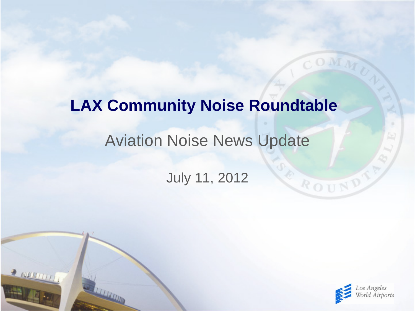# Aviation Noise News Update July 11, 2012 **LAX Community Noise Roundtable**

 $\rightarrow$  running



ROUND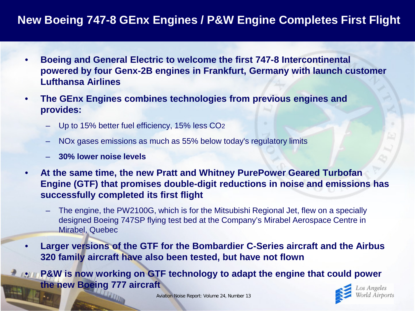### **New Boeing 747-8 GEnx Engines / P&W Engine Completes First Flight**

- **Boeing and General Electric to welcome the first 747-8 Intercontinental powered by four Genx-2B engines in Frankfurt, Germany with launch customer Lufthansa Airlines**
- **The GEnx Engines combines technologies from previous engines and provides:**
	- Up to 15% better fuel efficiency, 15% less CO2
	- NOx gases emissions as much as 55% below today's regulatory limits
	- **30% lower noise levels**
- **At the same time, the new Pratt and Whitney PurePower Geared Turbofan Engine (GTF) that promises double-digit reductions in noise and emissions has successfully completed its first flight**
	- The engine, the PW2100G, which is for the Mitsubishi Regional Jet, flew on a specially designed Boeing 747SP flying test bed at the Company's Mirabel Aerospace Centre in Mirabel, Quebec
- **Larger versions of the GTF for the Bombardier C-Series aircraft and the Airbus 320 family aircraft have also been tested, but have not flown**

**P&W is now working on GTF technology to adapt the engine that could power the new Boeing 777 aircraft**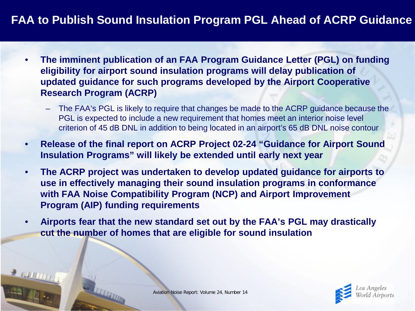## **FAA to Publish Sound Insulation Program PGL Ahead of ACRP Guidance**

- **The imminent publication of an FAA Program Guidance Letter (PGL) on funding eligibility for airport sound insulation programs will delay publication of updated guidance for such programs developed by the Airport Cooperative Research Program (ACRP)**
	- The FAA's PGL is likely to require that changes be made to the ACRP guidance because the PGL is expected to include a new requirement that homes meet an interior noise level criterion of 45 dB DNL in addition to being located in an airport's 65 dB DNL noise contour
- **Release of the final report on ACRP Project 02-24 "Guidance for Airport Sound Insulation Programs" will likely be extended until early next year**
- **The ACRP project was undertaken to develop updated guidance for airports to use in effectively managing their sound insulation programs in conformance with FAA Noise Compatibility Program (NCP) and Airport Improvement Program (AIP) funding requirements**
- **Airports fear that the new standard set out by the FAA's PGL may drastically cut the number of homes that are eligible for sound insulation**

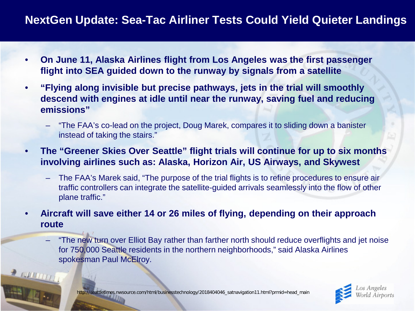### **NextGen Update: Sea-Tac Airliner Tests Could Yield Quieter Landings**

- **On June 11, Alaska Airlines flight from Los Angeles was the first passenger flight into SEA guided down to the runway by signals from a satellite**
- **"Flying along invisible but precise pathways, jets in the trial will smoothly descend with engines at idle until near the runway, saving fuel and reducing emissions"**
	- "The FAA's co-lead on the project, Doug Marek, compares it to sliding down a banister instead of taking the stairs."
- **The "Greener Skies Over Seattle" flight trials will continue for up to six months involving airlines such as: Alaska, Horizon Air, US Airways, and Skywest**
	- The FAA's Marek said, "The purpose of the trial flights is to refine procedures to ensure air traffic controllers can integrate the satellite-guided arrivals seamlessly into the flow of other plane traffic."
- **Aircraft will save either 14 or 26 miles of flying, depending on their approach route**
	- "The new turn over Elliot Bay rather than farther north should reduce overflights and jet noise for 750,000 Seattle residents in the northern neighborhoods," said Alaska Airlines spokesman Paul McElroy.



http://seattletimes.nwsource.com/html/businesstechnology/2018404046\_satnavigation11.html?prmid=head\_main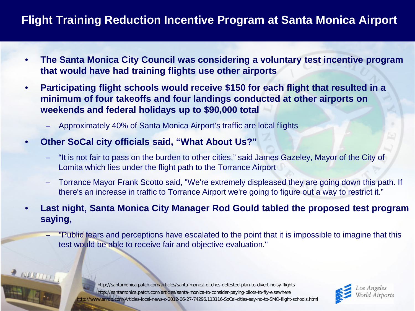## **Flight Training Reduction Incentive Program at Santa Monica Airport**

- **The Santa Monica City Council was considering a voluntary test incentive program that would have had training flights use other airports**
- **Participating flight schools would receive \$150 for each flight that resulted in a minimum of four takeoffs and four landings conducted at other airports on weekends and federal holidays up to \$90,000 total**
	- Approximately 40% of Santa Monica Airport's traffic are local flights
- **Other SoCal city officials said, "What About Us?"**

 $2$  and  $11$ 

- "It is not fair to pass on the burden to other cities," said James Gazeley, Mayor of the City of Lomita which lies under the flight path to the Torrance Airport
- Torrance Mayor Frank Scotto said, "We're extremely displeased they are going down this path. If there's an increase in traffic to Torrance Airport we're going to figure out a way to restrict it."
- **Last night, Santa Monica City Manager Rod Gould tabled the proposed test program saying,**
	- "Public fears and perceptions have escalated to the point that it is impossible to imagine that this test would be able to receive fair and objective evaluation."

http://santamonica.patch.com/articles/santa-monica-to-consider-paying-pilots-to-fly-elsewhere ttp://www.smdp.com/Articles-local-news-c-2012-06-27-74296.113116-SoCal-cities-say-no-to-SMO-flight-schools.html http://santamonica.patch.com/articles/santa-monica-ditches-detested-plan-to-divert-noisy-flights

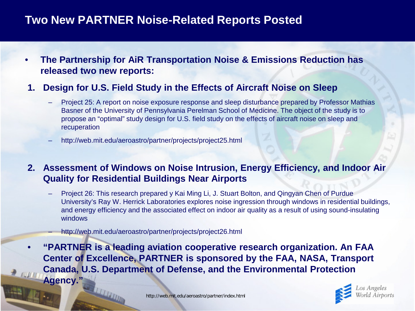#### **Two New PARTNER Noise-Related Reports Posted**

- **The Partnership for AiR Transportation Noise & Emissions Reduction has released two new reports:**
- **1. Design for U.S. Field Study in the Effects of Aircraft Noise on Sleep**
	- Project 25: A report on noise exposure response and sleep disturbance prepared by Professor Mathias Basner of the University of Pennsylvania Perelman School of Medicine. The object of the study is to propose an "optimal" study design for U.S. field study on the effects of aircraft noise on sleep and recuperation
	- http://web.mit.edu/aeroastro/partner/projects/project25.html
- **2. Assessment of Windows on Noise Intrusion, Energy Efficiency, and Indoor Air Quality for Residential Buildings Near Airports**
	- Project 26: This research prepared y Kai Ming Li, J. Stuart Bolton, and Qingyan Chen of Purdue University's Ray W. Herrick Laboratories explores noise ingression through windows in residential buildings, and energy efficiency and the associated effect on indoor air quality as a result of using sound-insulating windows
		- http://web.mit.edu/aeroastro/partner/projects/project26.html
- **"PARTNER is a leading aviation cooperative research organization. An FAA Center of Excellence, PARTNER is sponsored by the FAA, NASA, Transport Canada, U.S. Department of Defense, and the Environmental Protection Agency."**

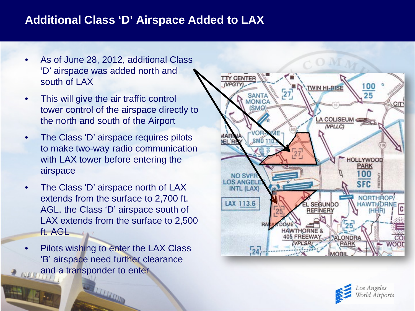#### **Additional Class 'D' Airspace Added to LAX**

- As of June 28, 2012, additional Class 'D' airspace was added north and south of LAX
- This will give the air traffic control tower control of the airspace directly to the north and south of the Airport
- The Class 'D' airspace requires pilots to make two-way radio communication with LAX tower before entering the airspace
- The Class 'D' airspace north of LAX extends from the surface to 2,700 ft. AGL, the Class 'D' airspace south of LAX extends from the surface to 2,500 ft. AGL
- Pilots wishing to enter the LAX Class 'B' airspace need further clearance and a transponder to enter